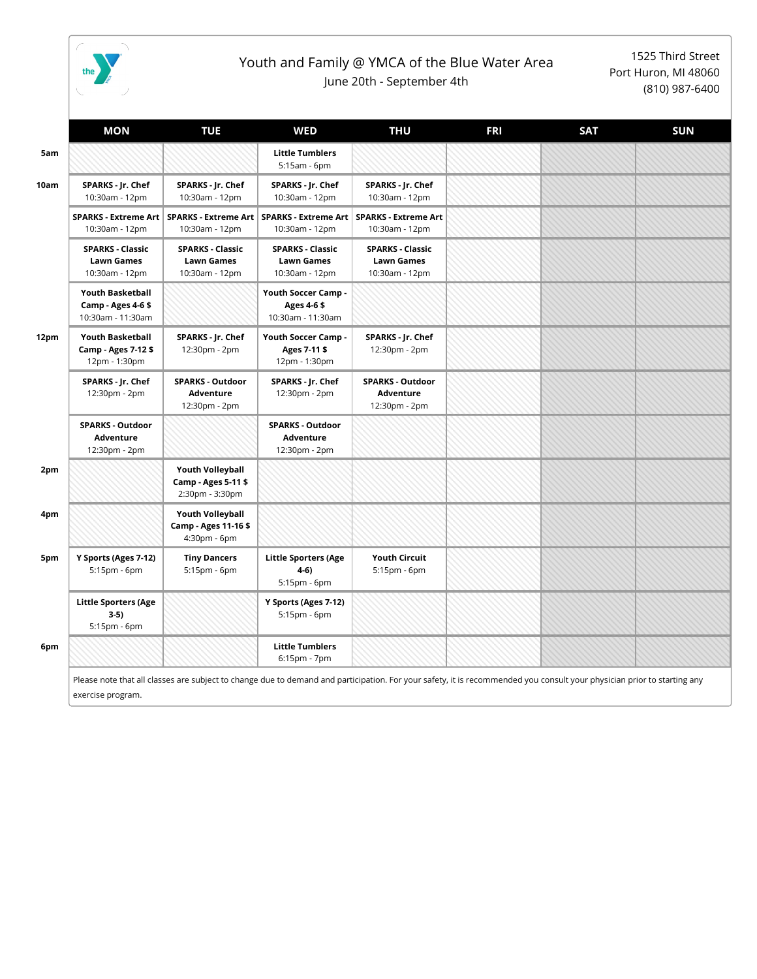

## Youth and Family @ YMCA of the Blue Water Area June 20th - September 4th

1525 Third Street Port Huron, MI 48060 (810) 987-6400

|      | <b>MON</b>                                                        | <b>TUE</b>                                                        | <b>WED</b>                                                     | <b>THU</b>                                                     | <b>FRI</b> | <b>SAT</b> | <b>SUN</b> |
|------|-------------------------------------------------------------------|-------------------------------------------------------------------|----------------------------------------------------------------|----------------------------------------------------------------|------------|------------|------------|
| 5am  |                                                                   |                                                                   | <b>Little Tumblers</b><br>5:15am - 6pm                         |                                                                |            |            |            |
| 10am | SPARKS - Jr. Chef<br>10:30am - 12pm                               | SPARKS - Jr. Chef<br>10:30am - 12pm                               | SPARKS - Jr. Chef<br>10:30am - 12pm                            | SPARKS - Jr. Chef<br>10:30am - 12pm                            |            |            |            |
|      | <b>SPARKS - Extreme Art</b><br>10:30am - 12pm                     | 10:30am - 12pm                                                    | SPARKS - Extreme Art   SPARKS - Extreme Art<br>10:30am - 12pm  | <b>SPARKS - Extreme Art</b><br>10:30am - 12pm                  |            |            |            |
|      | <b>SPARKS - Classic</b><br><b>Lawn Games</b><br>10:30am - 12pm    | <b>SPARKS - Classic</b><br>Lawn Games<br>10:30am - 12pm           | <b>SPARKS - Classic</b><br><b>Lawn Games</b><br>10:30am - 12pm | <b>SPARKS - Classic</b><br><b>Lawn Games</b><br>10:30am - 12pm |            |            |            |
|      | <b>Youth Basketball</b><br>Camp - Ages 4-6\$<br>10:30am - 11:30am |                                                                   | Youth Soccer Camp -<br>Ages 4-6 \$<br>10:30am - 11:30am        |                                                                |            |            |            |
| 12pm | <b>Youth Basketball</b><br>Camp - Ages 7-12 \$<br>12pm - 1:30pm   | SPARKS - Jr. Chef<br>12:30pm - 2pm                                | Youth Soccer Camp -<br>Ages 7-11 \$<br>12pm - 1:30pm           | SPARKS - Jr. Chef<br>12:30pm - 2pm                             |            |            |            |
|      | SPARKS - Jr. Chef<br>12:30pm - 2pm                                | <b>SPARKS - Outdoor</b><br>Adventure<br>12:30pm - 2pm             | SPARKS - Jr. Chef<br>12:30pm - 2pm                             | <b>SPARKS - Outdoor</b><br>Adventure<br>12:30pm - 2pm          |            |            |            |
|      | <b>SPARKS - Outdoor</b><br>Adventure<br>12:30pm - 2pm             |                                                                   | <b>SPARKS - Outdoor</b><br>Adventure<br>12:30pm - 2pm          |                                                                |            |            |            |
| 2pm  |                                                                   | <b>Youth Volleyball</b><br>Camp - Ages 5-11 \$<br>2:30pm - 3:30pm |                                                                |                                                                |            |            |            |
| 4pm  |                                                                   | <b>Youth Volleyball</b><br>Camp - Ages 11-16\$<br>4:30pm - 6pm    |                                                                |                                                                |            |            |            |
| 5pm  | Y Sports (Ages 7-12)<br>5:15pm - 6pm                              | <b>Tiny Dancers</b><br>5:15pm - 6pm                               | <b>Little Sporters (Age</b><br>4-6)<br>5:15pm - 6pm            | <b>Youth Circuit</b><br>5:15pm - 6pm                           |            |            |            |
|      | <b>Little Sporters (Age</b><br>$3-5)$<br>5:15pm - 6pm             |                                                                   | Y Sports (Ages 7-12)<br>5:15pm - 6pm                           |                                                                |            |            |            |
| 6pm  |                                                                   |                                                                   | <b>Little Tumblers</b><br>6:15pm - 7pm                         |                                                                |            |            |            |

Please note that all classes are subject to change due to demand and participation. For your safety, it is recommended you consult your physician prior to starting any exercise program.